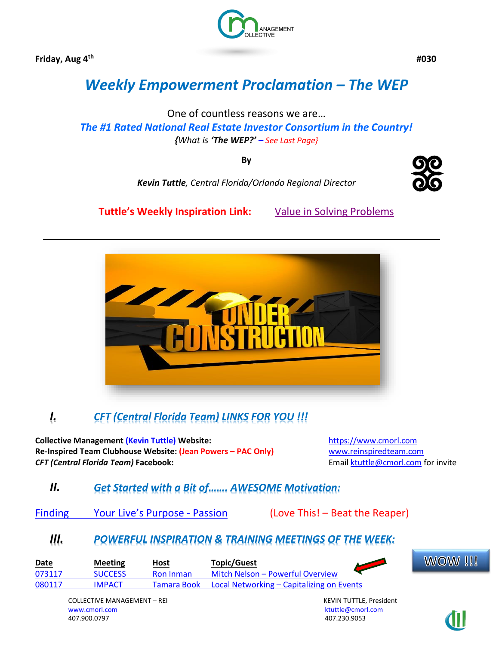**Friday, Aug 4th**



 **#030**

# *Weekly Empowerment Proclamation – The WEP*

One of countless reasons we are… *The #1 Rated National Real Estate Investor Consortium in the Country! {What is 'The WEP?' – See Last Page}*

**By**

*Kevin Tuttle, Central Florida/Orlando Regional Director*



**Tuttle's Weekly Inspiration Link:** [Value in Solving Problems](https://www.linkedin.com/pulse/value-solving-problems-kevin-tuttle)



# *I. CFT (Central Florida Team) LINKS FOR YOU !!!*

**Collective Management (Kevin Tuttle) Website:** [https://www.cmorl.com](https://www.cmorl.com/) **Re-Inspired Team Clubhouse Website: (Jean Powers – PAC Only)** [www.reinspiredteam.com](http://www.reinspiredteam.com/) **CFT (Central Florida Team) Facebook:** Email [ktuttle@cmorl.com](mailto:ktuttle@cmorl.com) for invite

# *II. Get Started with a Bit of……. AWESOME Motivation:*

Finding Your Live['s Purpose](https://www.youtube.com/watch?v=_mLn99CQubI) - Passion (Love This! – Beat the Reaper)

# *III. POWERFUL INSPIRATION & TRAINING MEETINGS OF THE WEEK:*

| <b>Date</b> | <b>Meeting</b> | Host             | <b>Topic/Guest</b>                                    | <b>WOW!!!</b> |
|-------------|----------------|------------------|-------------------------------------------------------|---------------|
| 073117      | SUCCESS        | <b>Ron</b> Inman | Mitch Nelson – Powerful Overview                      |               |
| 080117      | <b>IMPACT</b>  |                  | Tamara Book Local Networking – Capitalizing on Events |               |

COLLECTIVE MANAGEMENT – REI KEVIN TUTTLE, President [www.cmorl.com](http://www.cmorl.com/) [ktuttle@cmorl.com](mailto:ktuttle@cmorl.com) ktuttle@cmorl.com ktuttle@cmorl.com ktuttle@cmorl.com

407.230.9053

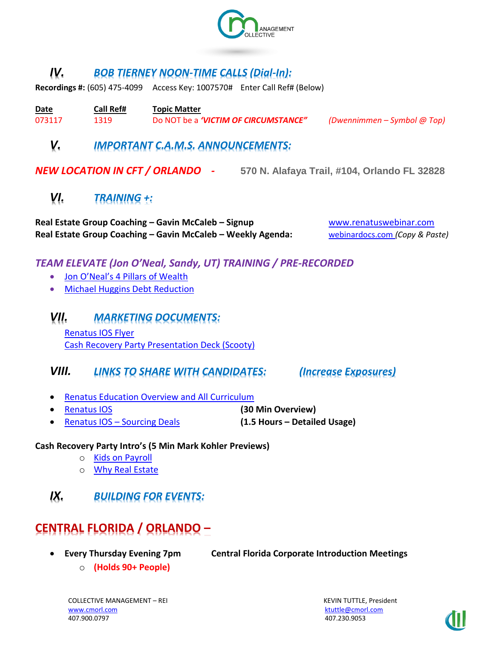

# *IV. BOB TIERNEY NOON-TIME CALLS (Dial-In):*

**Recordings #:** (605) 475-4099 Access Key: 1007570# Enter Call Ref# (Below)

**Date Call Ref# Topic Matter**  073117 1319 Do NOT be a *'VICTIM OF CIRCUMSTANCE" (Dwennimmen – Symbol @ Top)*

# *V. IMPORTANT C.A.M.S. ANNOUNCEMENTS:*

*NEW LOCATION IN CFT / ORLANDO -* **570 N. Alafaya Trail, #104, Orlando FL 32828**

# *VI. TRAINING +:*

**Real Estate Group Coaching – Gavin McCaleb – Signup** [www.renatuswebinar.com](http://www.renatuswebinar.com/) **Real Estate Group Coaching – Gavin McCaleb – Weekly Agenda:** [webinardocs.com](http://webinardocs.com/) *(Copy & Paste)*

## *TEAM ELEVATE (Jon O'Neal, Sandy, UT) TRAINING / PRE-RECORDED*

- [Jon O'Neal's 4 Pillars of Wealth](http://elevateyourinvesting.com/4pillars/)
- [Michael Huggins Debt Reduction](http://elevateyourinvesting.com/DebtReductionIntro/)

*VII. MARKETING DOCUMENTS:*  [Renatus IOS Flyer](https://www.dropbox.com/s/3ahzkcphjk3mkou/RenatusIOSFlyer.pdf?dl=0) [Cash Recovery Party Presentation Deck \(Scooty\)](https://drive.google.com/file/d/0B1ttFL_DNQgZZXBOb0FOWTRseUk/view)

## *VIII. LINKS TO SHARE WITH CANDIDATES: (Increase Exposures)*

- [Renatus Education Overview and All Curriculum](http://www.myrenatus.com/)
- [Renatus IOS](http://www.iqinvestments.com/renatusios) **(30 Min Overview)**
- Renatus IOS [Sourcing Deals](http://www.iqinvestments.com/renatusios/sourcing-deals-with-renatus-ios/) **(1.5 Hours – Detailed Usage)**

#### **Cash Recovery Party Intro's (5 Min Mark Kohler Previews)**

- o [Kids on Payroll](https://vimeo.com/223545158)
- o [Why Real Estate](https://vimeo.com/223704825)
- *IX. BUILDING FOR EVENTS:*

# **CENTRAL FLORIDA / ORLANDO –**

• **Every Thursday Evening 7pm Central Florida Corporate Introduction Meetings**

o **(Holds 90+ People)**

COLLECTIVE MANAGEMENT – REI KEVIN TUTTLE, President [www.cmorl.com](http://www.cmorl.com/) [ktuttle@cmorl.com](mailto:ktuttle@cmorl.com) ktuttle@cmorl.com ktuttle@cmorl.com 407.900.0797 407.230.9053

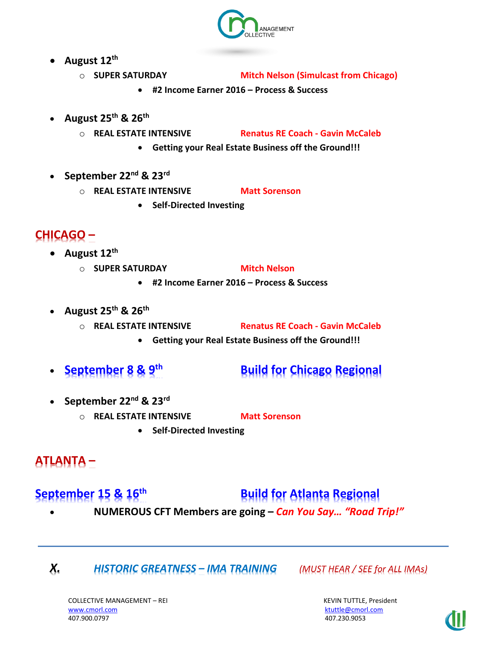

- **August 12th**
	- o **SUPER SATURDAY Mitch Nelson (Simulcast from Chicago)**
		- **#2 Income Earner 2016 – Process & Success**
- **August 25th & 26th**
	-

o **REAL ESTATE INTENSIVE Renatus RE Coach - Gavin McCaleb**

- **Getting your Real Estate Business off the Ground!!!**
- **September 22nd & 23rd**
	- o **REAL ESTATE INTENSIVE Matt Sorenson** 
		- **Self-Directed Investing**

# **CHICAGO –**

- **August 12th**
	- o **SUPER SATURDAY Mitch Nelson** 
		- **#2 Income Earner 2016 – Process & Success**
- **August 25th & 26th**
	- o **REAL ESTATE INTENSIVE Renatus RE Coach - Gavin McCaleb**
		- **Getting your Real Estate Business off the Ground!!!**
- **September 8 & 9th Build for Chicago Regional**
- **September 22nd & 23rd**
	- o **REAL ESTATE INTENSIVE Matt Sorenson** 
		- **Self-Directed Investing**

# **ATLANTA –**

**September 15 & 16<sup>th</sup> Build for Atlanta Regional** 

• **NUMEROUS CFT Members are going –** *Can You Say… "Road Trip!"*

*X. HISTORIC GREATNESS – IMA TRAINING (MUST HEAR / SEE for ALL IMAs)*

COLLECTIVE MANAGEMENT – REI KEVIN TUTTLE, President [www.cmorl.com](http://www.cmorl.com/) [ktuttle@cmorl.com](mailto:ktuttle@cmorl.com) ktuttle@cmorl.com ktuttle@cmorl.com ktuttle@cmorl.com

407.230.9053

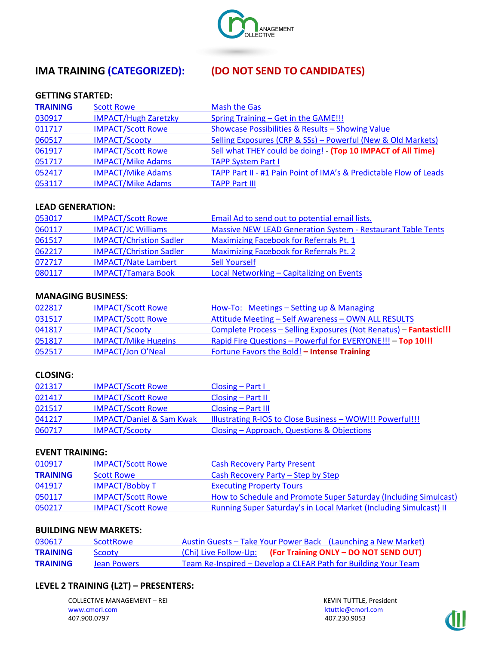

# **IMA TRAINING (CATEGORIZED): (DO NOT SEND TO CANDIDATES)**

#### **GETTING STARTED:**

| <b>TRAINING</b> | <b>Scott Rowe</b>           | <b>Mash the Gas</b>                                               |
|-----------------|-----------------------------|-------------------------------------------------------------------|
| 030917          | <b>IMPACT/Hugh Zaretzky</b> | Spring Training - Get in the GAME!!!                              |
| 011717          | <b>IMPACT/Scott Rowe</b>    | Showcase Possibilities & Results - Showing Value                  |
| 060517          | <b>IMPACT/Scooty</b>        | Selling Exposures (CRP & SSs) - Powerful (New & Old Markets)      |
| 061917          | <b>IMPACT/Scott Rowe</b>    | Sell what THEY could be doing! - (Top 10 IMPACT of All Time)      |
| 051717          | <b>IMPACT/Mike Adams</b>    | <b>TAPP System Part I</b>                                         |
| 052417          | <b>IMPACT/Mike Adams</b>    | TAPP Part II - #1 Pain Point of IMA's & Predictable Flow of Leads |
| 053117          | <b>IMPACT/Mike Adams</b>    | <b>TAPP Part III</b>                                              |

#### **LEAD GENERATION:**

| 053017 | <b>IMPACT/Scott Rowe</b>       | Email Ad to send out to potential email lists.                     |
|--------|--------------------------------|--------------------------------------------------------------------|
| 060117 | <b>IMPACT/JC Williams</b>      | <b>Massive NEW LEAD Generation System - Restaurant Table Tents</b> |
| 061517 | <b>IMPACT/Christion Sadler</b> | <b>Maximizing Facebook for Referrals Pt. 1</b>                     |
| 062217 | <b>IMPACT/Christion Sadler</b> | <b>Maximizing Facebook for Referrals Pt. 2</b>                     |
| 072717 | <b>IMPACT/Nate Lambert</b>     | <b>Sell Yourself</b>                                               |
| 080117 | <b>IMPACT/Tamara Book</b>      | Local Networking - Capitalizing on Events                          |

#### **MANAGING BUSINESS:**

| 022817 | <b>IMPACT/Scott Rowe</b>   | How-To: Meetings - Setting up & Managing                          |
|--------|----------------------------|-------------------------------------------------------------------|
| 031517 | <b>IMPACT/Scott Rowe</b>   | Attitude Meeting - Self Awareness - OWN ALL RESULTS               |
| 041817 | <b>IMPACT/Scooty</b>       | Complete Process - Selling Exposures (Not Renatus) - Fantastic!!! |
| 051817 | <b>IMPACT/Mike Huggins</b> | Rapid Fire Questions - Powerful for EVERYONE !!! - Top 10!!!      |
| 052517 | <b>IMPACT/Jon O'Neal</b>   | Fortune Favors the Bold! - Intense Training                       |

#### **CLOSING:**

| 021317 | <b>IMPACT/Scott Rowe</b>            | $\textsf{Closing}$ – Part I                               |
|--------|-------------------------------------|-----------------------------------------------------------|
| 021417 | <b>IMPACT/Scott Rowe</b>            | $\textsf{Closing} - \textsf{Part} \, \textsf{II}$         |
| 021517 | <b>IMPACT/Scott Rowe</b>            | $\textsf{Closing} - \textsf{Part}$ III                    |
| 041217 | <b>IMPACT/Daniel &amp; Sam Kwak</b> | Illustrating R-IOS to Close Business - WOW!!! Powerful!!! |
| 060717 | <b>IMPACT/Scooty</b>                | Closing – Approach, Questions & Objections                |

#### **EVENT TRAINING:**

| 010917          | <b>IMPACT/Scott Rowe</b> | <b>Cash Recovery Party Present</b>                                       |
|-----------------|--------------------------|--------------------------------------------------------------------------|
| <b>TRAINING</b> | <b>Scott Rowe</b>        | Cash Recovery Party – Step by Step                                       |
| 041917          | <b>IMPACT/Bobby T</b>    | <b>Executing Property Tours</b>                                          |
| 050117          | <b>IMPACT/Scott Rowe</b> | How to Schedule and Promote Super Saturday (Including Simulcast)         |
| 050217          | <b>IMPACT/Scott Rowe</b> | <b>Running Super Saturday's in Local Market (Including Simulcast) II</b> |

#### **BUILDING NEW MARKETS:**

| 030617          | <b>ScottRowe</b> |  | Austin Guests – Take Your Power Back (Launching a New Market)  |
|-----------------|------------------|--|----------------------------------------------------------------|
| <b>TRAINING</b> | Scooty           |  | (Chi) Live Follow-Up: (For Training ONLY - DO NOT SEND OUT)    |
| <b>TRAINING</b> | Jean Powers      |  | Team Re-Inspired – Develop a CLEAR Path for Building Your Team |

#### **LEVEL 2 TRAINING (L2T) – PRESENTERS:**

COLLECTIVE MANAGEMENT – REI KEVIN TUTTLE, President [www.cmorl.com](http://www.cmorl.com/) [ktuttle@cmorl.com](mailto:ktuttle@cmorl.com)

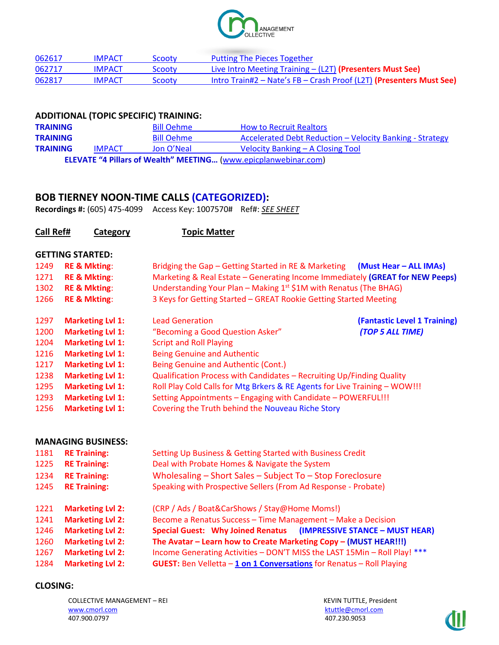

| 062617 | <b>IMPACT</b> | <b>Scooty</b> | <b>Putting The Pieces Together</b>                                  |
|--------|---------------|---------------|---------------------------------------------------------------------|
| 062717 | <b>IMPACT</b> | <b>Scooty</b> | Live Intro Meeting Training $-$ (L2T) (Presenters Must See)         |
| 062817 | <b>IMPACT</b> | Scooty        | Intro Train#2 – Nate's FB – Crash Proof (L2T) (Presenters Must See) |

### **ADDITIONAL (TOPIC SPECIFIC) TRAINING:**

| <b>TRAINING</b> |               | <b>Bill Oehme</b> | <b>How to Recruit Realtors</b>                                         |
|-----------------|---------------|-------------------|------------------------------------------------------------------------|
| <b>TRAINING</b> |               | <b>Bill Oehme</b> | Accelerated Debt Reduction – Velocity Banking - Strategy               |
| <b>TRAINING</b> | <b>IMPACT</b> | Jon O'Neal        | Velocity Banking – A Closing Tool                                      |
|                 |               |                   | <b>ELEVATE "4 Pillars of Wealth" MEETING (www.epicplanwebinar.com)</b> |

### **BOB TIERNEY NOON-TIME CALLS (CATEGORIZED):**

**Recordings #:** (605) 475-4099 Access Key: 1007570# Ref#: *SEE SHEET*

| Call Ref# | Category                  | <b>Topic Matter</b>                                                           |                              |
|-----------|---------------------------|-------------------------------------------------------------------------------|------------------------------|
|           | <b>GETTING STARTED:</b>   |                                                                               |                              |
| 1249      | <b>RE &amp; Mkting:</b>   | Bridging the Gap – Getting Started in RE & Marketing (Must Hear – ALL IMAs)   |                              |
| 1271      | <b>RE &amp; Mkting:</b>   | Marketing & Real Estate - Generating Income Immediately (GREAT for NEW Peeps) |                              |
| 1302      | <b>RE &amp; Mkting:</b>   | Understanding Your Plan - Making $1^{st}$ \$1M with Renatus (The BHAG)        |                              |
| 1266      | <b>RE &amp; Mkting:</b>   | 3 Keys for Getting Started - GREAT Rookie Getting Started Meeting             |                              |
| 1297      | <b>Marketing Lvl 1:</b>   | <b>Lead Generation</b>                                                        | (Fantastic Level 1 Training) |
| 1200      | <b>Marketing Lvl 1:</b>   | "Becoming a Good Question Asker"                                              | (TOP 5 ALL TIME)             |
| 1204      | <b>Marketing Lvl 1:</b>   | <b>Script and Roll Playing</b>                                                |                              |
| 1216      | <b>Marketing Lvl 1:</b>   | <b>Being Genuine and Authentic</b>                                            |                              |
| 1217      | <b>Marketing Lvl 1:</b>   | Being Genuine and Authentic (Cont.)                                           |                              |
| 1238      | <b>Marketing Lvl 1:</b>   | Qualification Process with Candidates - Recruiting Up/Finding Quality         |                              |
| 1295      | <b>Marketing Lvl 1:</b>   | Roll Play Cold Calls for Mtg Brkers & RE Agents for Live Training - WOW!!!    |                              |
| 1293      | <b>Marketing Lvl 1:</b>   | Setting Appointments - Engaging with Candidate - POWERFUL!!!                  |                              |
| 1256      | <b>Marketing Lvl 1:</b>   | Covering the Truth behind the Nouveau Riche Story                             |                              |
|           | <b>MANAGING BUSINESS:</b> |                                                                               |                              |
| 1181      | <b>RE Training:</b>       | Setting Up Business & Getting Started with Business Credit                    |                              |

|                         | $\frac{1}{2}$ , $\frac{1}{2}$ , $\frac{1}{2}$ , $\frac{1}{2}$ , $\frac{1}{2}$ , $\frac{1}{2}$ , $\frac{1}{2}$ , $\frac{1}{2}$ , $\frac{1}{2}$ , $\frac{1}{2}$ , $\frac{1}{2}$ , $\frac{1}{2}$ , $\frac{1}{2}$ , $\frac{1}{2}$ , $\frac{1}{2}$ , $\frac{1}{2}$ , $\frac{1}{2}$ , $\frac{1}{2}$ , $\frac{1$ |  |  |
|-------------------------|-----------------------------------------------------------------------------------------------------------------------------------------------------------------------------------------------------------------------------------------------------------------------------------------------------------|--|--|
| <b>RE Training:</b>     | Deal with Probate Homes & Navigate the System                                                                                                                                                                                                                                                             |  |  |
| <b>RE Training:</b>     | Wholesaling - Short Sales - Subject To - Stop Foreclosure                                                                                                                                                                                                                                                 |  |  |
| <b>RE Training:</b>     | Speaking with Prospective Sellers (From Ad Response - Probate)                                                                                                                                                                                                                                            |  |  |
| <b>Marketing Lvl 2:</b> | (CRP / Ads / Boat&CarShows / Stay@Home Moms!)                                                                                                                                                                                                                                                             |  |  |
| <b>Marketing Lvl 2:</b> | Become a Renatus Success - Time Management - Make a Decision                                                                                                                                                                                                                                              |  |  |
| <b>Marketing Lvl 2:</b> | Special Guest: Why Joined Renatus (IMPRESSIVE STANCE - MUST HEAR)                                                                                                                                                                                                                                         |  |  |
| <b>Marketing Lvl 2:</b> | The Avatar - Learn how to Create Marketing Copy - (MUST HEAR!!!)                                                                                                                                                                                                                                          |  |  |
| <b>Marketing Lvl 2:</b> | Income Generating Activities - DON'T MISS the LAST 15Min - Roll Play! ***                                                                                                                                                                                                                                 |  |  |
| <b>Marketing Lvl 2:</b> | <b>GUEST:</b> Ben Velletta $-1$ on 1 Conversations for Renatus - Roll Playing                                                                                                                                                                                                                             |  |  |
|                         |                                                                                                                                                                                                                                                                                                           |  |  |

#### **CLOSING:**

COLLECTIVE MANAGEMENT – REI KEVIN TUTTLE, President 407.900.0797

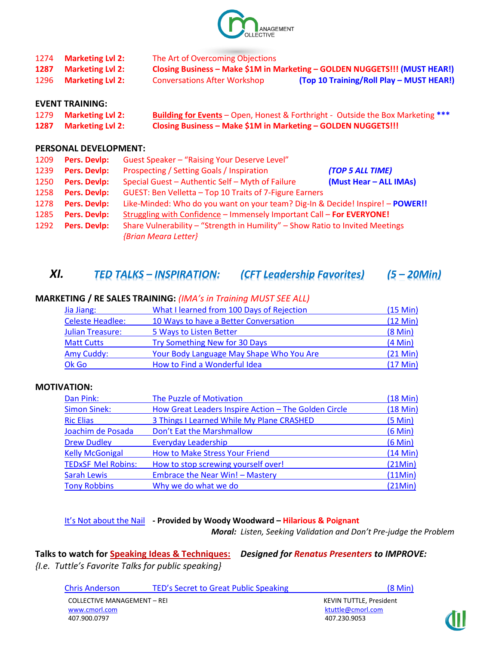

| 1274 | <b>Marketing Lvl 2:</b> | The Art of Overcoming Objections    |                                                                            |
|------|-------------------------|-------------------------------------|----------------------------------------------------------------------------|
| 1287 | <b>Marketing Lvl 2:</b> |                                     | Closing Business - Make \$1M in Marketing - GOLDEN NUGGETS!!! (MUST HEAR!) |
| 1296 | <b>Marketing Lvl 2:</b> | <b>Conversations After Workshop</b> | (Top 10 Training/Roll Play - MUST HEAR!)                                   |

#### **EVENT TRAINING:**

| 1279 Marketing Lvl 2: | <b>Building for Events</b> - Open, Honest & Forthright - Outside the Box Marketing *** |
|-----------------------|----------------------------------------------------------------------------------------|
| 1287 Marketing Lvl 2: | Closing Business - Make \$1M in Marketing - GOLDEN NUGGETS!!!                          |

#### **PERSONAL DEVELOPMENT:**

| 1209 | Pers. Devlp: | Guest Speaker - "Raising Your Deserve Level"                                   |                        |
|------|--------------|--------------------------------------------------------------------------------|------------------------|
| 1239 | Pers. Devlp: | Prospecting / Setting Goals / Inspiration                                      | (TOP 5 ALL TIME)       |
| 1250 | Pers. Devlp: | Special Guest - Authentic Self - Myth of Failure                               | (Must Hear - ALL IMAs) |
| 1258 | Pers. Devlp: | GUEST: Ben Velletta - Top 10 Traits of 7-Figure Earners                        |                        |
| 1278 | Pers. Devlp: | Like-Minded: Who do you want on your team? Dig-In & Decide! Inspire! - POWER!! |                        |
| 1285 | Pers. Devlp: | Struggling with Confidence - Immensely Important Call - For EVERYONE!          |                        |
| 1292 | Pers. Devlp: | Share Vulnerability - "Strength in Humility" - Show Ratio to Invited Meetings  |                        |
|      |              | {Brian Meara Letter}                                                           |                        |

## *XI. TED TALKS – INSPIRATION: (CFT Leadership Favorites) (5 – 20Min)*

| Jia Jiang:              | What I learned from 100 Days of Rejection<br>(15 Min) |                    |  |
|-------------------------|-------------------------------------------------------|--------------------|--|
| <b>Celeste Headlee:</b> | 10 Ways to have a Better Conversation                 | $(12 \text{ Min})$ |  |
| <b>Julian Treasure:</b> | 5 Ways to Listen Better                               | $(8$ Min $)$       |  |
| <b>Matt Cutts</b>       | Try Something New for 30 Days                         | $(4$ Min $)$       |  |
| Amy Cuddy:              | Your Body Language May Shape Who You Are              | $(21 \text{ Min})$ |  |
| Ok Go                   | How to Find a Wonderful Idea                          | $(17$ Min $)$      |  |

#### **MARKETING / RE SALES TRAINING:** *(IMA's in Training MUST SEE ALL)*

#### **MOTIVATION:**

| Dan Pink:                 | <b>The Puzzle of Motivation</b>                      | $(18$ Min $)$ |
|---------------------------|------------------------------------------------------|---------------|
| <b>Simon Sinek:</b>       | How Great Leaders Inspire Action - The Golden Circle | $(18$ Min $)$ |
| <b>Ric Elias</b>          | 3 Things I Learned While My Plane CRASHED            | (5 Min)       |
| Joachim de Posada         | Don't Eat the Marshmallow                            | $(6$ Min $)$  |
| <b>Drew Dudley</b>        | <b>Everyday Leadership</b>                           | $(6$ Min $)$  |
| <b>Kelly McGonigal</b>    | How to Make Stress Your Friend                       | $(14$ Min $)$ |
| <b>TEDxSF Mel Robins:</b> | How to stop screwing yourself over!                  | (21Min)       |
| <b>Sarah Lewis</b>        | Embrace the Near Win! - Mastery                      | (11Min)       |
| <b>Tony Robbins</b>       | Why we do what we do                                 | (21Min)       |

[It's Not about the Nail](https://www.youtube.com/watch?v=-4EDhdAHrOg) **- Provided by Woody Woodward – Hilarious & Poignant** 

*Moral: Listen, Seeking Validation and Don't Pre-judge the Problem*

**Talks to watch for Speaking Ideas & Techniques:** *Designed for Renatus Presenters to IMPROVE: {I.e. Tuttle's Favorite Talks for public speaking}*

| <b>Chris Anderson</b>              | TED's Secret to Great Public Speaking | $(8 \text{ Min})$              |
|------------------------------------|---------------------------------------|--------------------------------|
| <b>COLLECTIVE MANAGEMENT - REI</b> |                                       | <b>KEVIN TUTTLE, President</b> |
| www.cmorl.com                      |                                       | ktuttle@cmorl.com              |
| 407.900.0797                       |                                       | 407.230.9053                   |

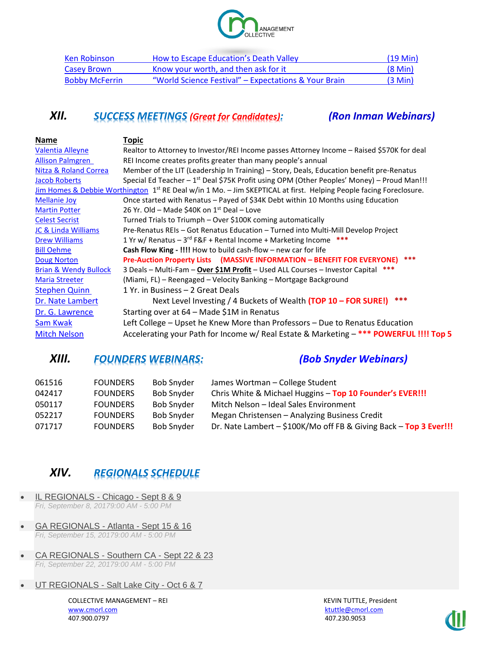

| <b>Ken Robinson</b>   | How to Escape Education's Death Valley               | $(19 \text{ Min})$ |
|-----------------------|------------------------------------------------------|--------------------|
| Casey Brown           | Know your worth, and then ask for it                 | $(8$ Min $)$       |
| <b>Bobby McFerrin</b> | "World Science Festival" – Expectations & Your Brain | $(3 \text{ Min})$  |

## *XII. SUCCESS MEETINGS (Great for Candidates): (Ron Inman Webinars)*

| Name                             | <b>Topic</b>                                                                                                                   |
|----------------------------------|--------------------------------------------------------------------------------------------------------------------------------|
| Valentia Alleyne                 | Realtor to Attorney to Investor/REI Income passes Attorney Income – Raised \$570K for deal                                     |
| <b>Allison Palmgren</b>          | REI Income creates profits greater than many people's annual                                                                   |
| Nitza & Roland Correa            | Member of the LIT (Leadership In Training) - Story, Deals, Education benefit pre-Renatus                                       |
| Jacob Roberts                    | Special Ed Teacher - $1st$ Deal \$75K Profit using OPM (Other Peoples' Money) - Proud Man!!!                                   |
|                                  | Jim Homes & Debbie Worthington 1 <sup>st</sup> RE Deal w/in 1 Mo. - Jim SKEPTICAL at first. Helping People facing Foreclosure. |
| <b>Mellanie Joy</b>              | Once started with Renatus - Payed of \$34K Debt within 10 Months using Education                                               |
| <b>Martin Potter</b>             | 26 Yr. Old – Made \$40K on $1st$ Deal – Love                                                                                   |
| <b>Celest Secrist</b>            | Turned Trials to Triumph - Over \$100K coming automatically                                                                    |
| <b>JC &amp; Linda Williams</b>   | Pre-Renatus REIs - Got Renatus Education - Turned into Multi-Mill Develop Project                                              |
| <b>Drew Williams</b>             | 1 Yr w/ Renatus - $3^{rd}$ F&F + Rental Income + Marketing Income ***                                                          |
| <b>Bill Oehme</b>                | <b>Cash Flow King - !!!!</b> How to build cash-flow $-$ new car for life                                                       |
| <b>Doug Norton</b>               | ***<br>Pre-Auction Property Lists (MASSIVE INFORMATION - BENEFIT FOR EVERYONE)                                                 |
| <b>Brian &amp; Wendy Bullock</b> | 3 Deals - Multi-Fam - Over \$1M Profit - Used ALL Courses - Investor Capital                                                   |
| <b>Maria Streeter</b>            | (Miami, FL) – Reengaged – Velocity Banking – Mortgage Background                                                               |
| <b>Stephen Quinn</b>             | 1 Yr. in Business - 2 Great Deals                                                                                              |
| Dr. Nate Lambert                 | ***<br>Next Level Investing / 4 Buckets of Wealth (TOP 10 - FOR SURE!)                                                         |
| Dr. G. Lawrence                  | Starting over at 64 – Made \$1M in Renatus                                                                                     |
| Sam Kwak                         | Left College - Upset he Knew More than Professors - Due to Renatus Education                                                   |
| <b>Mitch Nelson</b>              | Accelerating your Path for Income w/ Real Estate & Marketing - *** POWERFUL !!!! Top 5                                         |
|                                  |                                                                                                                                |

# *XIII. FOUNDERS WEBINARS: (Bob Snyder Webinars)*

| 061516 | <b>FOUNDERS</b> | <b>Bob Snyder</b> | James Wortman - College Student                                   |
|--------|-----------------|-------------------|-------------------------------------------------------------------|
| 042417 | <b>FOUNDERS</b> | <b>Bob Snyder</b> | Chris White & Michael Huggins - Top 10 Founder's EVER !!!         |
| 050117 | <b>FOUNDERS</b> | <b>Bob Snyder</b> | Mitch Nelson - Ideal Sales Environment                            |
| 052217 | <b>FOUNDERS</b> | <b>Bob Snyder</b> | Megan Christensen - Analyzing Business Credit                     |
| 071717 | <b>FOUNDERS</b> | <b>Bob Snyder</b> | Dr. Nate Lambert - \$100K/Mo off FB & Giving Back - Top 3 Ever!!! |

# *XIV. REGIONALS SCHEDULE*

- [IL REGIONALS -](http://www.nationwidebdg.com/il-regionals-chicago/19757595) Chicago Sept 8 & 9 *Fri, September 8, 20179:00 AM - 5:00 PM*
- [GA REGIONALS -](http://www.nationwidebdg.com/ga-regionals-atlanta-sept-15-16) Atlanta Sept 15 & 16 *Fri, September 15, 20179:00 AM - 5:00 PM*
- [CA REGIONALS -](http://www.nationwidebdg.com/ca-regionals-southern-ca-sept-22-23) Southern CA Sept 22 & 23 *Fri, September 22, 20179:00 AM - 5:00 PM*
- [UT REGIONALS -](http://www.nationwidebdg.com/ut-regionals-salt-lake-city-oct-6-7) Salt Lake City Oct 6 & 7

COLLECTIVE MANAGEMENT – REI KEVIN TUTTLE, President [www.cmorl.com](http://www.cmorl.com/) [ktuttle@cmorl.com](mailto:ktuttle@cmorl.com) ktuttle@cmorl.com ktuttle@cmorl.com ktuttle@cmorl.com

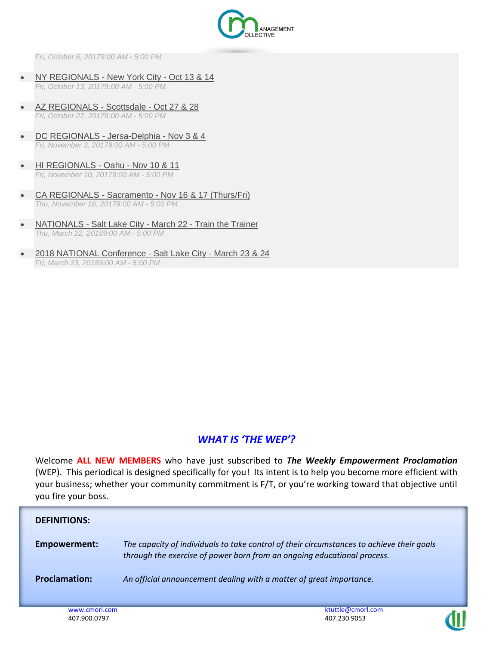

*Fri, October 6, 20179:00 AM - 5:00 PM*

- [NY REGIONALS -](http://www.nationwidebdg.com/ny-regionals-new-york-city-oct-13-14) New York City Oct 13 & 14 *Fri, October 13, 20179:00 AM - 5:00 PM*
- [AZ REGIONALS -](http://www.nationwidebdg.com/az-regionals-scottsdale-oct-27-28) Scottsdale Oct 27 & 28 *Fri, October 27, 20179:00 AM - 5:00 PM*
- [DC REGIONALS -](http://www.nationwidebdg.com/dc-regionals-jersa-delphia-nov-3-4) Jersa-Delphia Nov 3 & 4 *Fri, November 3, 20179:00 AM - 5:00 PM*
- [HI REGIONALS -](http://www.nationwidebdg.com/hi-regionals-oahu-nov-10-11) Oahu Nov 10 & 11 *Fri, November 10, 20179:00 AM - 5:00 PM*
- CA REGIONALS Sacramento [Nov 16 & 17 \(Thurs/Fri\)](http://www.nationwidebdg.com/ca-regionals-sacramento-nov-16-17-thursfri) *Thu, November 16, 20179:00 AM - 5:00 PM*
- NATIONALS Salt Lake City March 22 [Train the Trainer](http://www.nationwidebdg.com/nationals-salt-lake-city-march-22-train-the-trainer) *Thu, March 22, 20189:00 AM - 5:00 PM*
- [2018 NATIONAL Conference -](http://www.nationwidebdg.com/2018-national-conference-salt-lake-city-march-23-24) Salt Lake City March 23 & 24 *Fri, March 23, 20189:00 AM - 5:00 PM*

### *WHAT IS 'THE WEP'?*

Welcome **ALL NEW MEMBERS** who have just subscribed to *The Weekly Empowerment Proclamation* (WEP). This periodical is designed specifically for you! Its intent is to help you become more efficient with your business; whether your community commitment is F/T, or you're working toward that objective until you fire your boss.

| <b>DEFINITIONS:</b>  |                                                                                                                                                                      |
|----------------------|----------------------------------------------------------------------------------------------------------------------------------------------------------------------|
| Empowerment:         | The capacity of individuals to take control of their circumstances to achieve their goals<br>through the exercise of power born from an ongoing educational process. |
| <b>Proclamation:</b> | An official announcement dealing with a matter of great importance.                                                                                                  |

407.900.0797